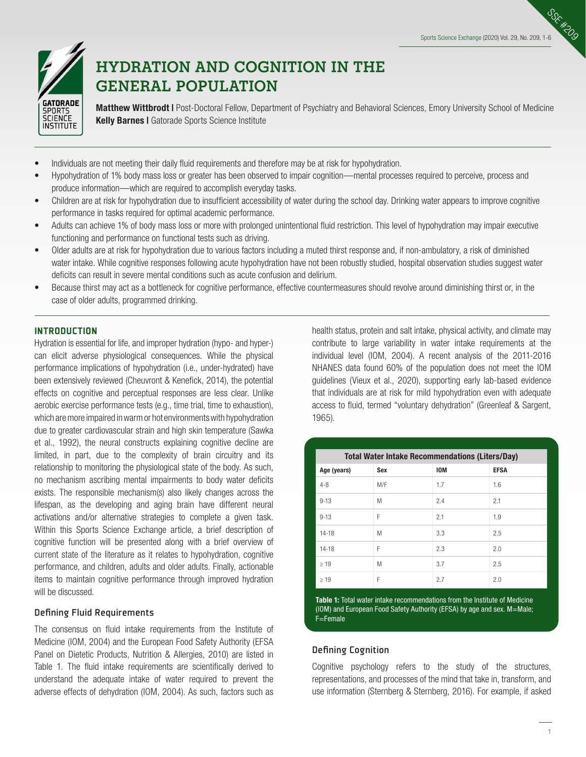SSR



# **HYDRATION AND COGNITION IN THE GENERAL POPULATION**

Matthew Wittbrodt I Post-Doctoral Fellow, Department of Psychiatry and Behavioral Sciences, Emory University School of Medicine Kelly Barnes I Gatorade Sports Science Institute

- Individuals are not meeting their daily fluid requirements and therefore may be at risk for hypohydration.
- Hypohydration of 1% body mass loss or greater has been observed to impair cognition—mental processes required to perceive, process and produce information—which are required to accomplish everyday tasks.
- Children are at risk for hypohydration due to insufficient accessibility of water during the school day. Drinking water appears to improve cognitive performance in tasks required for optimal academic performance.
- Adults can achieve 1% of body mass loss or more with prolonged unintentional fluid restriction. This level of hypohydration may impair executive functioning and performance on functional tests such as driving.
- Older adults are at risk for hypohydration due to various factors including a muted thirst response and, if non-ambulatory, a risk of diminished water intake. While cognitive responses following acute hypohydration have not been robustly studied, hospital observation studies suggest water deficits can result in severe mental conditions such as acute confusion and delirium.
- Because thirst may act as a bottleneck for cognitive performance, effective countermeasures should revolve around diminishing thirst or, in the case of older adults, programmed drinking.

# **INTRODUCTION**

Hydration is essential for life, and improper hydration (hypo- and hyper-) can elicit adverse physiological consequences. While the physical performance implications of hypohydration (i.e., under-hydrated) have been extensively reviewed (Cheuvront & Kenefick, 2014), the potential effects on cognitive and perceptual responses are less clear. Unlike aerobic exercise performance tests (e.g., time trial, time to exhaustion), which are more impaired in warm or hot environments with hypohydration due to greater cardiovascular strain and high skin temperature (Sawka et al., 1992), the neural constructs explaining cognitive decline are limited, in part, due to the complexity of brain circuitry and its relationship to monitoring the physiological state of the body. As such, no mechanism ascribing mental impairments to body water deficits exists. The responsible mechanism(s) also likely changes across the lifespan, as the developing and aging brain have different neural activations and/or alternative strategies to complete a given task. Within this Sports Science Exchange article, a brief description of cognitive function will be presented along with a brief overview of current state of the literature as it relates to hypohydration, cognitive performance, and children, adults and older adults. Finally, actionable items to maintain cognitive performance through improved hydration will be discussed.

# Defining Fluid Requirements

The consensus on fluid intake requirements from the Institute of Medicine (IOM, 2004) and the European Food Safety Authority (EFSA Panel on Dietetic Products, Nutrition & Allergies, 2010) are listed in Table 1. The fluid intake requirements are scientifically derived to understand the adequate intake of water required to prevent the adverse effects of dehydration (IOM, 2004). As such, factors such as

health status, protein and salt intake, physical activity, and climate may contribute to large variability in water intake requirements at the individual level (IOM, 2004). A recent analysis of the 2011-2016 NHANES data found 60% of the population does not meet the IOM guidelines (Vieux et al., 2020), supporting early lab-based evidence that individuals are at risk for mild hypohydration even with adequate access to fluid, termed "voluntary dehydration" (Greenleaf & Sargent, 1965).

| <b>Total Water Intake Recommendations (Liters/Day)</b> |     |            |             |
|--------------------------------------------------------|-----|------------|-------------|
| Age (years)                                            | Sex | <b>IOM</b> | <b>EFSA</b> |
| $4 - 8$                                                | M/F | 1.7        | 1.6         |
| $9 - 13$                                               | M   | 2.4        | 2.1         |
| $9 - 13$                                               | F   | 2.1        | 1.9         |
| $14 - 18$                                              | M   | 3.3        | 2.5         |
| $14 - 18$                                              | F   | 2.3        | 2.0         |
| >19                                                    | M   | 3.7        | 2.5         |
| $\geq 19$                                              | F   | 2.7        | 2.0         |

Table 1: Total water intake recommendations from the Institute of Medicine (IOM) and European Food Safety Authority (EFSA) by age and sex. M=Male; F=Female

# Defining Cognition

Cognitive psychology refers to the study of the structures, representations, and processes of the mind that take in, transform, and use information (Sternberg & Sternberg, 2016). For example, if asked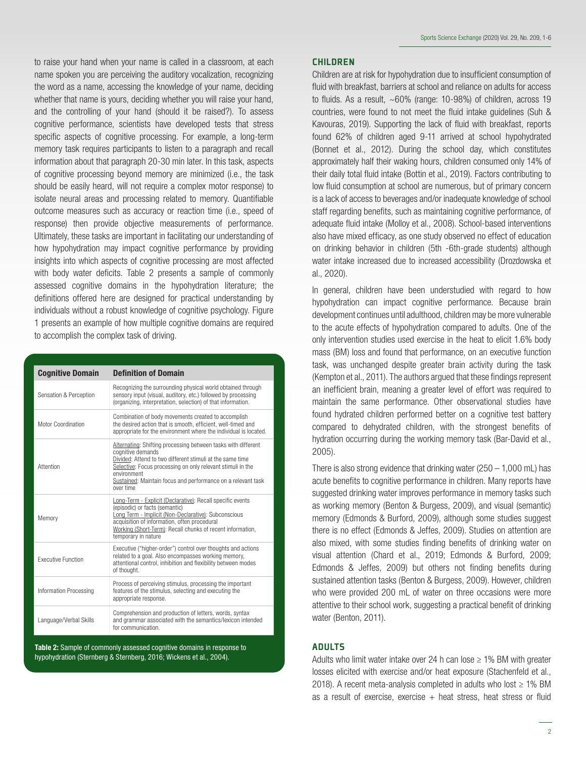to raise your hand when your name is called in a classroom, at each name spoken you are perceiving the auditory vocalization, recognizing the word as a name, accessing the knowledge of your name, deciding whether that name is yours, deciding whether you will raise your hand, and the controlling of your hand (should it be raised?). To assess cognitive performance, scientists have developed tests that stress specific aspects of cognitive processing. For example, a long-term memory task requires participants to listen to a paragraph and recall information about that paragraph 20-30 min later. In this task, aspects of cognitive processing beyond memory are minimized (i.e., the task should be easily heard, will not require a complex motor response) to isolate neural areas and processing related to memory. Quantifiable outcome measures such as accuracy or reaction time (i.e., speed of response) then provide objective measurements of performance. Ultimately, these tasks are important in facilitating our understanding of how hypohydration may impact cognitive performance by providing insights into which aspects of cognitive processing are most affected with body water deficits. Table 2 presents a sample of commonly assessed cognitive domains in the hypohydration literature; the definitions offered here are designed for practical understanding by individuals without a robust knowledge of cognitive psychology. Figure 1 presents an example of how multiple cognitive domains are required to accomplish the complex task of driving.

| <b>Cognitive Domain</b>   | <b>Definition of Domain</b>                                                                                                                                                                                                                                                                                |
|---------------------------|------------------------------------------------------------------------------------------------------------------------------------------------------------------------------------------------------------------------------------------------------------------------------------------------------------|
| Sensation & Perception    | Recognizing the surrounding physical world obtained through<br>sensory input (visual, auditory, etc.) followed by processing<br>(organizing, interpretation, selection) of that information.                                                                                                               |
| Motor Coordination        | Combination of body movements created to accomplish<br>the desired action that is smooth, efficient, well-timed and<br>appropriate for the environment where the individual is located.                                                                                                                    |
| Attention                 | Alternating: Shifting processing between tasks with different<br>cognitive demands<br>Divided: Attend to two different stimuli at the same time<br>Selective: Focus processing on only relevant stimuli in the<br>environment<br>Sustained: Maintain focus and performance on a relevant task<br>over time |
| Memory                    | Long-Term - Explicit (Declarative): Recall specific events<br>(episodic) or facts (semantic)<br>Long Term - Implicit (Non-Declarative): Subconscious<br>acquisition of information, often procedural<br>Working (Short-Term): Recall chunks of recent information.<br>temporary in nature                  |
| <b>Executive Eunction</b> | Executive ("higher-order") control over thoughts and actions<br>related to a goal. Also encompasses working memory,<br>attentional control, inhibition and flexibility between modes<br>of thought.                                                                                                        |
| Information Processing    | Process of perceiving stimulus, processing the important<br>features of the stimulus, selecting and executing the<br>appropriate response.                                                                                                                                                                 |
| Language/Verbal Skills    | Comprehension and production of letters, words, syntax<br>and grammar associated with the semantics/lexicon intended<br>for communication.                                                                                                                                                                 |

Table 2: Sample of commonly assessed cognitive domains in response to hypohydration (Sternberg & Sternberg, 2016; Wickens et al., 2004).

# **CHILDREN**

Children are at risk for hypohydration due to insufficient consumption of fluid with breakfast, barriers at school and reliance on adults for access to fluids. As a result, ~60% (range: 10-98%) of children, across 19 countries, were found to not meet the fluid intake guidelines (Suh & Kavouras, 2019). Supporting the lack of fluid with breakfast, reports found 62% of children aged 9-11 arrived at school hypohydrated (Bonnet et al., 2012). During the school day, which constitutes approximately half their waking hours, children consumed only 14% of their daily total fluid intake (Bottin et al., 2019). Factors contributing to low fluid consumption at school are numerous, but of primary concern is a lack of access to beverages and/or inadequate knowledge of school staff regarding benefits, such as maintaining cognitive performance, of adequate fluid intake (Molloy et al., 2008). School-based interventions also have mixed efficacy, as one study observed no effect of education on drinking behavior in children (5th -6th-grade students) although water intake increased due to increased accessibility (Drozdowska et al., 2020).

In general, children have been understudied with regard to how hypohydration can impact cognitive performance. Because brain development continues until adulthood, children may be more vulnerable to the acute effects of hypohydration compared to adults. One of the only intervention studies used exercise in the heat to elicit 1.6% body mass (BM) loss and found that performance, on an executive function task, was unchanged despite greater brain activity during the task (Kempton et al., 2011). The authors argued that these findings represent an inefficient brain, meaning a greater level of effort was required to maintain the same performance. Other observational studies have found hydrated children performed better on a cognitive test battery compared to dehydrated children, with the strongest benefits of hydration occurring during the working memory task (Bar-David et al., 2005).

There is also strong evidence that drinking water  $(250 - 1,000 \text{ mL})$  has acute benefits to cognitive performance in children. Many reports have suggested drinking water improves performance in memory tasks such as working memory (Benton & Burgess, 2009), and visual (semantic) memory (Edmonds & Burford, 2009), although some studies suggest there is no effect (Edmonds & Jeffes, 2009). Studies on attention are also mixed, with some studies finding benefits of drinking water on visual attention (Chard et al., 2019; Edmonds & Burford, 2009; Edmonds & Jeffes, 2009) but others not finding benefits during sustained attention tasks (Benton & Burgess, 2009). However, children who were provided 200 mL of water on three occasions were more attentive to their school work, suggesting a practical benefit of drinking water (Benton, 2011).

# ADULTS

Adults who limit water intake over 24 h can lose  $\geq$  1% BM with greater losses elicited with exercise and/or heat exposure (Stachenfeld et al., 2018). A recent meta-analysis completed in adults who lost  $\geq 1\%$  BM as a result of exercise, exercise  $+$  heat stress, heat stress or fluid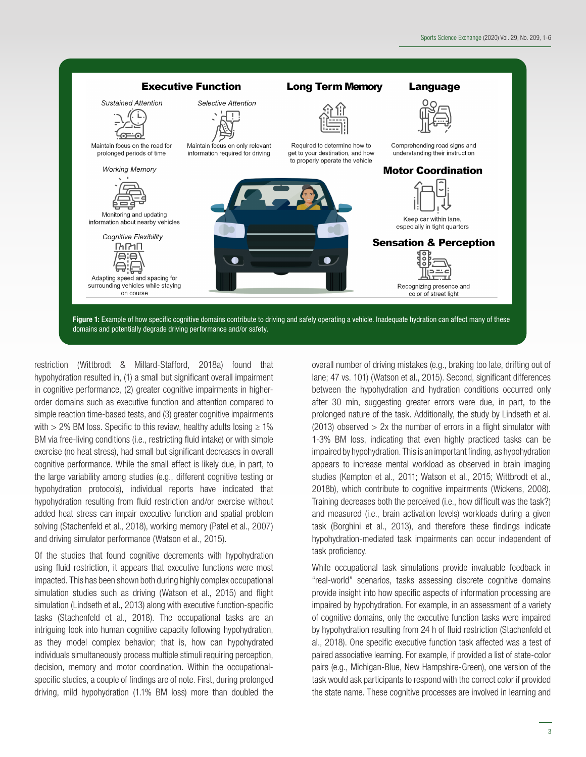

restriction (Wittbrodt & Millard-Stafford, 2018a) found that hypohydration resulted in, (1) a small but significant overall impairment in cognitive performance, (2) greater cognitive impairments in higherorder domains such as executive function and attention compared to simple reaction time-based tests, and (3) greater cognitive impairments with  $>$  2% BM loss. Specific to this review, healthy adults losing  $\geq$  1% BM via free-living conditions (i.e., restricting fluid intake) or with simple exercise (no heat stress), had small but significant decreases in overall cognitive performance. While the small effect is likely due, in part, to the large variability among studies (e.g., different cognitive testing or hypohydration protocols), individual reports have indicated that hypohydration resulting from fluid restriction and/or exercise without added heat stress can impair executive function and spatial problem solving (Stachenfeld et al., 2018), working memory (Patel et al., 2007) and driving simulator performance (Watson et al., 2015).

Of the studies that found cognitive decrements with hypohydration using fluid restriction, it appears that executive functions were most impacted. This has been shown both during highly complex occupational simulation studies such as driving (Watson et al., 2015) and flight simulation (Lindseth et al., 2013) along with executive function-specific tasks (Stachenfeld et al., 2018). The occupational tasks are an intriguing look into human cognitive capacity following hypohydration, as they model complex behavior; that is, how can hypohydrated individuals simultaneously process multiple stimuli requiring perception, decision, memory and motor coordination. Within the occupationalspecific studies, a couple of findings are of note. First, during prolonged driving, mild hypohydration (1.1% BM loss) more than doubled the

overall number of driving mistakes (e.g., braking too late, drifting out of lane; 47 vs. 101) (Watson et al., 2015). Second, significant differences between the hypohydration and hydration conditions occurred only after 30 min, suggesting greater errors were due, in part, to the prolonged nature of the task. Additionally, the study by Lindseth et al. (2013) observed  $> 2x$  the number of errors in a flight simulator with 1-3% BM loss, indicating that even highly practiced tasks can be impaired by hypohydration. This is an important finding, as hypohydration appears to increase mental workload as observed in brain imaging studies (Kempton et al., 2011; Watson et al., 2015; Wittbrodt et al., 2018b), which contribute to cognitive impairments (Wickens, 2008). Training decreases both the perceived (i.e., how difficult was the task?) and measured (i.e., brain activation levels) workloads during a given task (Borghini et al., 2013), and therefore these findings indicate hypohydration-mediated task impairments can occur independent of task proficiency.

While occupational task simulations provide invaluable feedback in "real-world" scenarios, tasks assessing discrete cognitive domains provide insight into how specific aspects of information processing are impaired by hypohydration. For example, in an assessment of a variety of cognitive domains, only the executive function tasks were impaired by hypohydration resulting from 24 h of fluid restriction (Stachenfeld et al., 2018). One specific executive function task affected was a test of paired associative learning. For example, if provided a list of state-color pairs (e.g., Michigan-Blue, New Hampshire-Green), one version of the task would ask participants to respond with the correct color if provided the state name. These cognitive processes are involved in learning and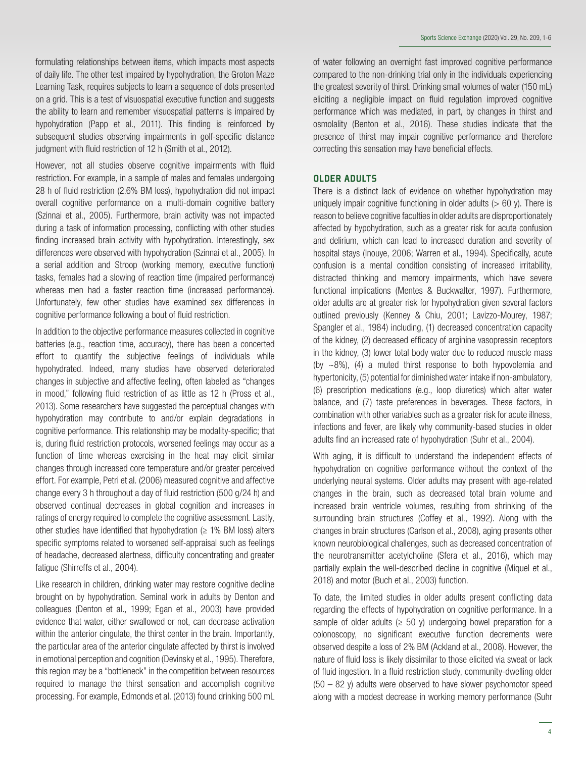formulating relationships between items, which impacts most aspects of daily life. The other test impaired by hypohydration, the Groton Maze Learning Task, requires subjects to learn a sequence of dots presented on a grid. This is a test of visuospatial executive function and suggests the ability to learn and remember visuospatial patterns is impaired by hypohydration (Papp et al., 2011). This finding is reinforced by subsequent studies observing impairments in golf-specific distance judgment with fluid restriction of 12 h (Smith et al., 2012).

However, not all studies observe cognitive impairments with fluid restriction. For example, in a sample of males and females undergoing 28 h of fluid restriction (2.6% BM loss), hypohydration did not impact overall cognitive performance on a multi-domain cognitive battery (Szinnai et al., 2005). Furthermore, brain activity was not impacted during a task of information processing, conflicting with other studies finding increased brain activity with hypohydration. Interestingly, sex differences were observed with hypohydration (Szinnai et al., 2005). In a serial addition and Stroop (working memory, executive function) tasks, females had a slowing of reaction time (impaired performance) whereas men had a faster reaction time (increased performance). Unfortunately, few other studies have examined sex differences in cognitive performance following a bout of fluid restriction.

In addition to the objective performance measures collected in cognitive batteries (e.g., reaction time, accuracy), there has been a concerted effort to quantify the subjective feelings of individuals while hypohydrated. Indeed, many studies have observed deteriorated changes in subjective and affective feeling, often labeled as "changes in mood," following fluid restriction of as little as 12 h (Pross et al., 2013). Some researchers have suggested the perceptual changes with hypohydration may contribute to and/or explain degradations in cognitive performance. This relationship may be modality-specific; that is, during fluid restriction protocols, worsened feelings may occur as a function of time whereas exercising in the heat may elicit similar changes through increased core temperature and/or greater perceived effort. For example, Petri et al. (2006) measured cognitive and affective change every 3 h throughout a day of fluid restriction (500 g/24 h) and observed continual decreases in global cognition and increases in ratings of energy required to complete the cognitive assessment. Lastly, other studies have identified that hypohydration  $(≥ 1%$  BM loss) alters specific symptoms related to worsened self-appraisal such as feelings of headache, decreased alertness, difficulty concentrating and greater fatigue (Shirreffs et al., 2004).

Like research in children, drinking water may restore cognitive decline brought on by hypohydration. Seminal work in adults by Denton and colleagues (Denton et al., 1999; Egan et al., 2003) have provided evidence that water, either swallowed or not, can decrease activation within the anterior cingulate, the thirst center in the brain. Importantly, the particular area of the anterior cingulate affected by thirst is involved in emotional perception and cognition (Devinsky et al., 1995). Therefore, this region may be a "bottleneck" in the competition between resources required to manage the thirst sensation and accomplish cognitive processing. For example, Edmonds et al. (2013) found drinking 500 mL of water following an overnight fast improved cognitive performance compared to the non-drinking trial only in the individuals experiencing the greatest severity of thirst. Drinking small volumes of water (150 mL) eliciting a negligible impact on fluid regulation improved cognitive performance which was mediated, in part, by changes in thirst and osmolality (Benton et al., 2016). These studies indicate that the presence of thirst may impair cognitive performance and therefore correcting this sensation may have beneficial effects.

#### OLDER ADULTS

There is a distinct lack of evidence on whether hypohydration may uniquely impair cognitive functioning in older adults  $(> 60 \text{ y})$ . There is reason to believe cognitive faculties in older adults are disproportionately affected by hypohydration, such as a greater risk for acute confusion and delirium, which can lead to increased duration and severity of hospital stays (Inouye, 2006; Warren et al., 1994). Specifically, acute confusion is a mental condition consisting of increased irritability, distracted thinking and memory impairments, which have severe functional implications (Mentes & Buckwalter, 1997). Furthermore, older adults are at greater risk for hypohydration given several factors outlined previously (Kenney & Chiu, 2001; Lavizzo-Mourey, 1987; Spangler et al., 1984) including, (1) decreased concentration capacity of the kidney, (2) decreased efficacy of arginine vasopressin receptors in the kidney, (3) lower total body water due to reduced muscle mass (by  $\sim$ 8%), (4) a muted thirst response to both hypovolemia and hypertonicity, (5) potential for diminished water intake if non-ambulatory, (6) prescription medications (e.g., loop diuretics) which alter water balance, and (7) taste preferences in beverages. These factors, in combination with other variables such as a greater risk for acute illness, infections and fever, are likely why community-based studies in older adults find an increased rate of hypohydration (Suhr et al., 2004).

With aging, it is difficult to understand the independent effects of hypohydration on cognitive performance without the context of the underlying neural systems. Older adults may present with age-related changes in the brain, such as decreased total brain volume and increased brain ventricle volumes, resulting from shrinking of the surrounding brain structures (Coffey et al., 1992). Along with the changes in brain structures (Carlson et al., 2008), aging presents other known neurobiological challenges, such as decreased concentration of the neurotransmitter acetylcholine (Sfera et al., 2016), which may partially explain the well-described decline in cognitive (Miquel et al., 2018) and motor (Buch et al., 2003) function.

To date, the limited studies in older adults present conflicting data regarding the effects of hypohydration on cognitive performance. In a sample of older adults ( $\geq 50$  y) undergoing bowel preparation for a colonoscopy, no significant executive function decrements were observed despite a loss of 2% BM (Ackland et al., 2008). However, the nature of fluid loss is likely dissimilar to those elicited via sweat or lack of fluid ingestion. In a fluid restriction study, community-dwelling older  $(50 - 82)$  v) adults were observed to have slower psychomotor speed along with a modest decrease in working memory performance (Suhr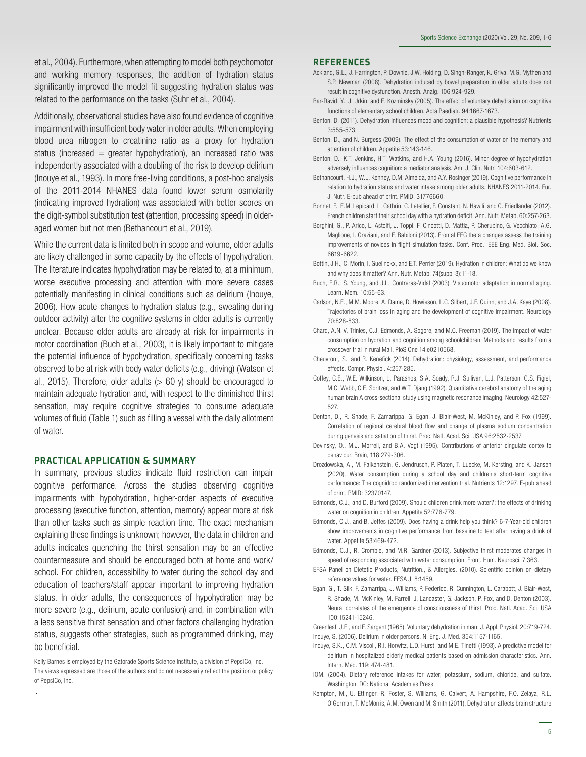et al., 2004). Furthermore, when attempting to model both psychomotor and working memory responses, the addition of hydration status significantly improved the model fit suggesting hydration status was related to the performance on the tasks (Suhr et al., 2004).

Additionally, observational studies have also found evidence of cognitive impairment with insufficient body water in older adults. When employing blood urea nitrogen to creatinine ratio as a proxy for hydration status (increased  $=$  greater hypohydration), an increased ratio was independently associated with a doubling of the risk to develop delirium (Inouye et al., 1993). In more free-living conditions, a post-hoc analysis of the 2011-2014 NHANES data found lower serum osmolarity (indicating improved hydration) was associated with better scores on the digit-symbol substitution test (attention, processing speed) in olderaged women but not men (Bethancourt et al., 2019).

While the current data is limited both in scope and volume, older adults are likely challenged in some capacity by the effects of hypohydration. The literature indicates hypohydration may be related to, at a minimum, worse executive processing and attention with more severe cases potentially manifesting in clinical conditions such as delirium (Inouye, 2006). How acute changes to hydration status (e.g., sweating during outdoor activity) alter the cognitive systems in older adults is currently unclear. Because older adults are already at risk for impairments in motor coordination (Buch et al., 2003), it is likely important to mitigate the potential influence of hypohydration, specifically concerning tasks observed to be at risk with body water deficits (e.g., driving) (Watson et al., 2015). Therefore, older adults  $(> 60 \text{ y})$  should be encouraged to maintain adequate hydration and, with respect to the diminished thirst sensation, may require cognitive strategies to consume adequate volumes of fluid (Table 1) such as filling a vessel with the daily allotment of water.

#### PRACTICAL APPLICATION & SUMMARY

In summary, previous studies indicate fluid restriction can impair cognitive performance. Across the studies observing cognitive impairments with hypohydration, higher-order aspects of executive processing (executive function, attention, memory) appear more at risk than other tasks such as simple reaction time. The exact mechanism explaining these findings is unknown; however, the data in children and adults indicates quenching the thirst sensation may be an effective countermeasure and should be encouraged both at home and work/ school. For children, accessibility to water during the school day and education of teachers/staff appear important to improving hydration status. In older adults, the consequences of hypohydration may be more severe (e.g., delirium, acute confusion) and, in combination with a less sensitive thirst sensation and other factors challenging hydration status, suggests other strategies, such as programmed drinking, may be beneficial.

Kelly Barnes is employed by the Gatorade Sports Science Institute, a division of PepsiCo, Inc. The views expressed are those of the authors and do not necessarily reflect the position or policy of PepsiCo, Inc.

.

#### **REFERENCES**

- Ackland, G.L., J. Harrington, P. Downie, J.W. Holding, D. Singh-Ranger, K. Griva, M.G. Mythen and S.P. Newman (2008). Dehydration induced by bowel preparation in older adults does not result in cognitive dysfunction. Anesth. Analg. 106:924-929.
- Bar-David, Y., J. Urkin, and E. Kozminsky (2005). The effect of voluntary dehydration on cognitive functions of elementary school children. Acta Paediatr. 94:1667-1673.
- Benton, D. (2011). Dehydration influences mood and cognition: a plausible hypothesis? Nutrients 3:555-573.
- Benton, D., and N. Burgess (2009). The effect of the consumption of water on the memory and attention of children. Appetite 53:143-146.
- Benton, D., K.T. Jenkins, H.T. Watkins, and H.A. Young (2016). Minor degree of hypohydration adversely influences cognition: a mediator analysis. Am. J. Clin. Nutr. 104:603-612.
- Bethancourt, H.J., W.L. Kenney, D.M. Almeida, and A.Y. Rosinger (2019). Cognitive performance in relation to hydration status and water intake among older adults, NHANES 2011-2014. Eur. J. Nutr. E-pub ahead of print. PMID: 31776660.
- Bonnet, F., E.M. Lepicard, L. Cathrin, C. Letellier, F. Constant, N. Hawili, and G. Friedlander (2012). French children start their school day with a hydration deficit. Ann. Nutr. Metab. 60:257-263.
- Borghini, G., P. Arico, L. Astolfi, J. Toppi, F. Cincotti, D. Mattia, P. Cherubino, G. Vecchiato, A.G. Maglione, I. Graziani, and F. Babiloni (2013). Frontal EEG theta changes assess the training improvements of novices in flight simulation tasks. Conf. Proc. IEEE Eng. Med. Biol. Soc. 6619-6622.
- Bottin, J.H., C. Morin, I. Guelinckx, and E.T. Perrier (2019). Hydration in children: What do we know and why does it matter? Ann. Nutr. Metab. 74(suppl 3):11-18.
- Buch, E.R., S. Young, and J.L. Contreras-Vidal (2003). Visuomotor adaptation in normal aging. Learn. Mem. 10:55-63.
- Carlson, N.E., M.M. Moore, A. Dame, D. Howieson, L.C. Silbert, J.F. Quinn, and J.A. Kaye (2008). Trajectories of brain loss in aging and the development of cognitive impairment. Neurology 70:828-833.
- Chard, A.N.,V. Trinies, C.J. Edmonds, A. Sogore, and M.C. Freeman (2019). The impact of water consumption on hydration and cognition among schoolchildren: Methods and results from a crossover trial in rural Mali. PloS One 14:e0210568.
- Cheuvront, S., and R. Kenefick (2014). Dehydration: physiology, assessment, and performance effects. Compr. Physiol. 4:257-285.
- Coffey, C.E., W.E. Wilkinson, L. Parashos, S.A. Soady, R.J. Sullivan, L.J. Patterson, G.S. Figiel, M.C. Webb, C.E. Spritzer, and W.T. Djang (1992). Quantitative cerebral anatomy of the aging human brain A cross‐sectional study using magnetic resonance imaging. Neurology 42:527- 527.
- Denton, D., R. Shade, F. Zamarippa, G. Egan, J. Blair-West, M. McKinley, and P. Fox (1999). Correlation of regional cerebral blood flow and change of plasma sodium concentration during genesis and satiation of thirst. Proc. Natl. Acad. Sci. USA 96:2532-2537.
- Devinsky, O., M.J. Morrell, and B.A. Vogt (1995). Contributions of anterior cingulate cortex to behaviour. Brain, 118:279-306.
- Drozdowska, A., M. Falkenstein, G. Jendrusch, P. Platen, T. Luecke, M. Kersting, and K. Jansen (2020). Water consumption during a school day and children's short-term cognitive performance: The cognidrop randomized intervention trial. Nutrients 12:1297. E-pub ahead of print. PMID: 32370147.
- Edmonds, C.J., and D. Burford (2009). Should children drink more water?: the effects of drinking water on cognition in children. Appetite 52:776-779.
- Edmonds, C.J., and B. Jeffes (2009). Does having a drink help you think? 6-7-Year-old children show improvements in cognitive performance from baseline to test after having a drink of water. Annetite 53:469-472.
- Edmonds, C.J., R. Crombie, and M.R. Gardner (2013). Subjective thirst moderates changes in speed of responding associated with water consumption. Front. Hum. Neurosci. 7:363.
- EFSA Panel on Dietetic Products, Nutrition., & Allergies. (2010). Scientific opinion on dietary reference values for water. EFSA J. 8:1459.
- Egan, G., T. Silk, F. Zamarripa, J. Williams, P. Federico, R. Cunnington, L. Carabott, J. Blair-West, R. Shade, M. McKinley, M. Farrell, J. Lancaster, G. Jackson, P. Fox, and D. Denton (2003). Neural correlates of the emergence of consciousness of thirst. Proc. Natl. Acad. Sci. USA 100:15241-15246.

Greenleaf, J.E., and F. Sargent (1965). Voluntary dehydration in man. J. Appl. Physiol. 20:719-724. Inouye, S. (2006). Delirium in older persons. N. Eng. J. Med. 354:1157-1165.

- Inouye, S.K., C.M. Viscoli, R.I. Horwitz, L.D. Hurst, and M.E. Tinetti (1993). A predictive model for delirium in hospitalized elderly medical patients based on admission characteristics. Ann. Intern. Med. 119: 474-481.
- IOM. (2004). Dietary reference intakes for water, potassium, sodium, chloride, and sulfate. Washington, DC: National Academies Press.
- Kempton, M., U. Ettinger, R. Foster, S. Williams, G. Calvert, A. Hampshire, F.O. Zelaya, R.L. O'Gorman, T. McMorris, A.M. Owen and M. Smith (2011). Dehydration affects brain structure